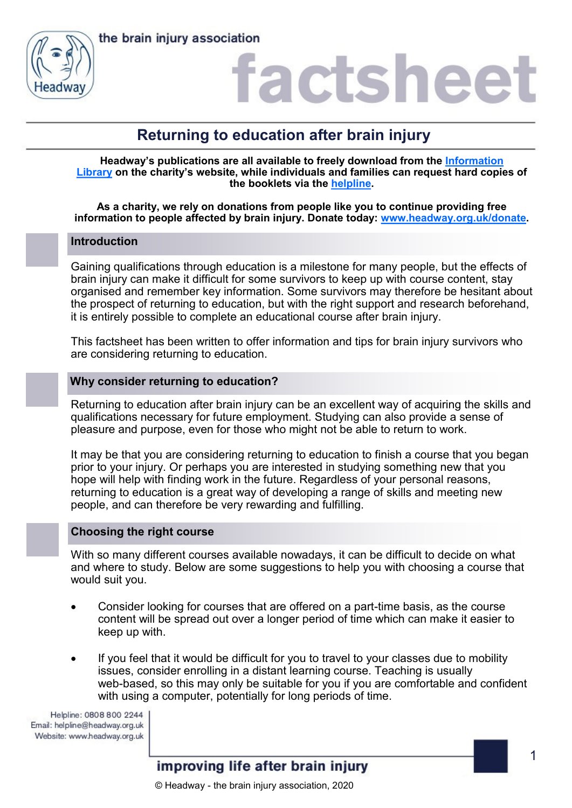



### factshee

### **Returning to education after brain injury**

**Headway's publications are all available to freely download from the [Information](https://www.headway.org.uk/about-brain-injury/individuals/information-library/)  [Library](https://www.headway.org.uk/about-brain-injury/individuals/information-library/) on the charity's website, while individuals and families can request hard copies of the booklets via the [helpline.](https://www.headway.org.uk/supporting-you/helpline/)**

**As a charity, we rely on donations from people like you to continue providing free information to people affected by brain injury. Donate today: [www.headway.org.uk/donate.](http://www.headway.org.uk/donate)**

### **Introduction**

Gaining qualifications through education is a milestone for many people, but the effects of brain injury can make it difficult for some survivors to keep up with course content, stay organised and remember key information. Some survivors may therefore be hesitant about the prospect of returning to education, but with the right support and research beforehand, it is entirely possible to complete an educational course after brain injury.

This factsheet has been written to offer information and tips for brain injury survivors who are considering returning to education.

### **Why consider returning to education?**

Returning to education after brain injury can be an excellent way of acquiring the skills and qualifications necessary for future employment. Studying can also provide a sense of pleasure and purpose, even for those who might not be able to return to work.

It may be that you are considering returning to education to finish a course that you began prior to your injury. Or perhaps you are interested in studying something new that you hope will help with finding work in the future. Regardless of your personal reasons, returning to education is a great way of developing a range of skills and meeting new people, and can therefore be very rewarding and fulfilling.

### **Choosing the right course**

With so many different courses available nowadays, it can be difficult to decide on what and where to study. Below are some suggestions to help you with choosing a course that would suit you.

- Consider looking for courses that are offered on a part-time basis, as the course content will be spread out over a longer period of time which can make it easier to keep up with.
- If you feel that it would be difficult for you to travel to your classes due to mobility issues, consider enrolling in a distant learning course. Teaching is usually web-based, so this may only be suitable for you if you are comfortable and confident with using a computer, potentially for long periods of time.

Helpline: 0808 800 2244 Email: helpline@headway.org.uk Website: www.headway.org.uk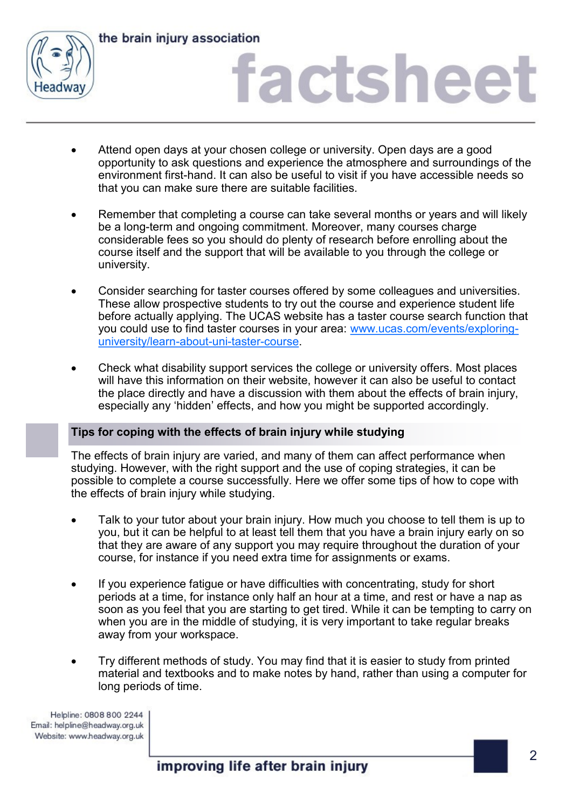

the brain injury association

# factsheet

- Attend open days at your chosen college or university. Open days are a good opportunity to ask questions and experience the atmosphere and surroundings of the environment first-hand. It can also be useful to visit if you have accessible needs so that you can make sure there are suitable facilities.
- Remember that completing a course can take several months or years and will likely be a long-term and ongoing commitment. Moreover, many courses charge considerable fees so you should do plenty of research before enrolling about the course itself and the support that will be available to you through the college or university.
- Consider searching for taster courses offered by some colleagues and universities. These allow prospective students to try out the course and experience student life before actually applying. The UCAS website has a taster course search function that you could use to find taster courses in your area: [www.ucas.com/events/exploring](http://www.ucas.com/events/exploring-university/learn-about-uni-taster-course)[university/learn](http://www.ucas.com/events/exploring-university/learn-about-uni-taster-course)-about-uni-taster-course.
- Check what disability support services the college or university offers. Most places will have this information on their website, however it can also be useful to contact the place directly and have a discussion with them about the effects of brain injury, especially any 'hidden' effects, and how you might be supported accordingly.

### **Tips for coping with the effects of brain injury while studying**

The effects of brain injury are varied, and many of them can affect performance when studying. However, with the right support and the use of coping strategies, it can be possible to complete a course successfully. Here we offer some tips of how to cope with the effects of brain injury while studying.

- Talk to your tutor about your brain injury. How much you choose to tell them is up to you, but it can be helpful to at least tell them that you have a brain injury early on so that they are aware of any support you may require throughout the duration of your course, for instance if you need extra time for assignments or exams.
- If you experience fatigue or have difficulties with concentrating, study for short periods at a time, for instance only half an hour at a time, and rest or have a nap as soon as you feel that you are starting to get tired. While it can be tempting to carry on when you are in the middle of studying, it is very important to take regular breaks away from your workspace.
- Try different methods of study. You may find that it is easier to study from printed material and textbooks and to make notes by hand, rather than using a computer for long periods of time.

Helpline: 0808 800 2244 Email: helpline@headway.org.uk Website: www.headway.org.uk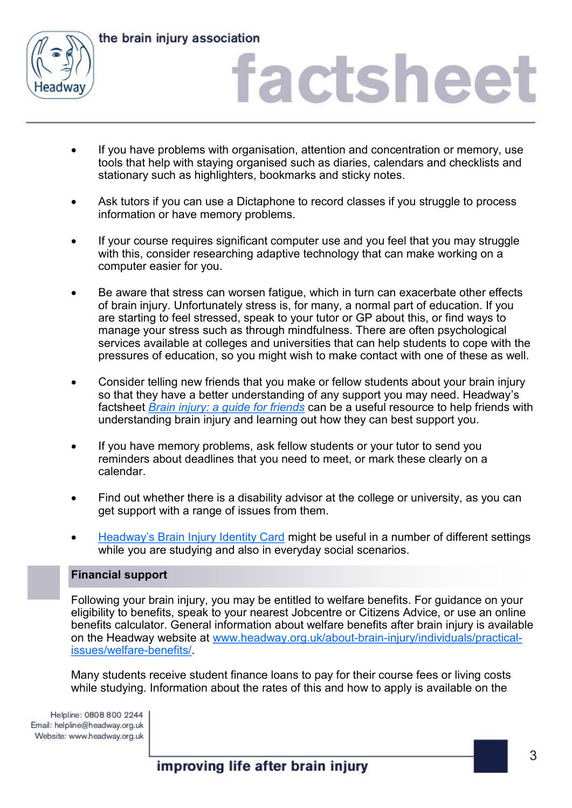

the brain injury association

### factsheet

- If you have problems with organisation, attention and concentration or memory, use tools that help with staying organised such as diaries, calendars and checklists and stationary such as highlighters, bookmarks and sticky notes.
- Ask tutors if you can use a Dictaphone to record classes if you struggle to process information or have memory problems.
- If your course requires significant computer use and you feel that you may struggle with this, consider researching adaptive technology that can make working on a computer easier for you.
- Be aware that stress can worsen fatigue, which in turn can exacerbate other effects of brain injury. Unfortunately stress is, for many, a normal part of education. If you are starting to feel stressed, speak to your tutor or GP about this, or find ways to manage your stress such as through mindfulness. There are often psychological services available at colleges and universities that can help students to cope with the pressures of education, so you might wish to make contact with one of these as well.
- Consider telling new friends that you make or fellow students about your brain injury so that they have a better understanding of any support you may need. Headway's factsheet *[Brain injury: a guide for friends](https://www.headway.org.uk/media/4990/brain-injury-a-guide-for-friends-factsheet.pdf)* can be a useful resource to help friends with understanding brain injury and learning out how they can best support you.
- If you have memory problems, ask fellow students or your tutor to send you reminders about deadlines that you need to meet, or mark these clearly on a calendar.
- Find out whether there is a disability advisor at the college or university, as you can get support with a range of issues from them.
- Headway'[s Brain Injury Identity Card](https://www.headway.org.uk/supporting-you/brain-injury-identity-card/) might be useful in a number of different settings while you are studying and also in everyday social scenarios.

### **Financial support**

Following your brain injury, you may be entitled to welfare benefits. For guidance on your eligibility to benefits, speak to your nearest Jobcentre or Citizens Advice, or use an online benefits calculator. General information about welfare benefits after brain injury is available on the Headway website at [www.headway.org.uk/about](https://www.headway.org.uk/about-brain-injury/individuals/practical-issues/welfare-benefits/)-brain-injury/individuals/practical[issues/welfare](https://www.headway.org.uk/about-brain-injury/individuals/practical-issues/welfare-benefits/)-benefits/.

Many students receive student finance loans to pay for their course fees or living costs while studying. Information about the rates of this and how to apply is available on the

Helpline: 0808 800 2244 Email: helpline@headway.org.uk Website: www.headway.org.uk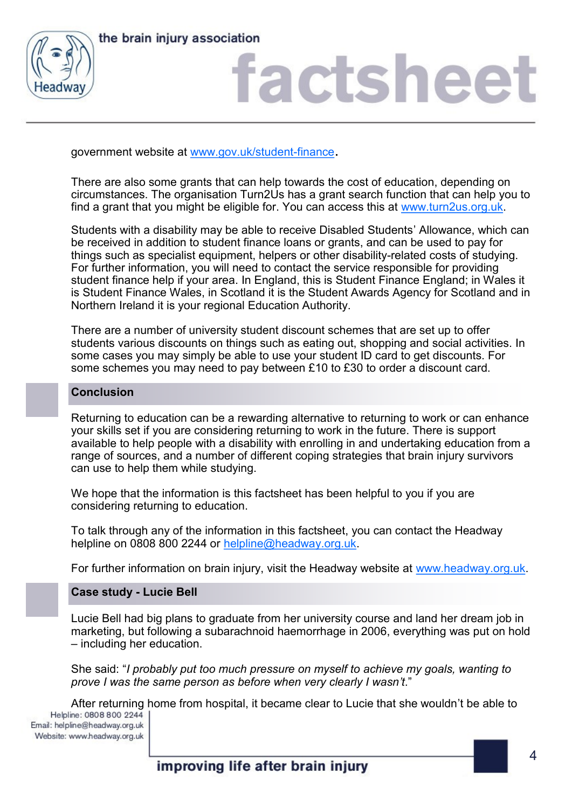



# factsheet

government website at [www.gov.uk/student](https://www.gov.uk/student-finance)-finance.

There are also some grants that can help towards the cost of education, depending on circumstances. The organisation Turn2Us has a grant search function that can help you to find a grant that you might be eligible for. You can access this at [www.turn2us.org.uk.](http://www.turn2us.org.uk)

Students with a disability may be able to receive Disabled Students' Allowance, which can be received in addition to student finance loans or grants, and can be used to pay for things such as specialist equipment, helpers or other disability-related costs of studying. For further information, you will need to contact the service responsible for providing student finance help if your area. In England, this is Student Finance England; in Wales it is Student Finance Wales, in Scotland it is the Student Awards Agency for Scotland and in Northern Ireland it is your regional Education Authority.

There are a number of university student discount schemes that are set up to offer students various discounts on things such as eating out, shopping and social activities. In some cases you may simply be able to use your student ID card to get discounts. For some schemes you may need to pay between £10 to £30 to order a discount card.

### **Conclusion**

Returning to education can be a rewarding alternative to returning to work or can enhance your skills set if you are considering returning to work in the future. There is support available to help people with a disability with enrolling in and undertaking education from a range of sources, and a number of different coping strategies that brain injury survivors can use to help them while studying.

We hope that the information is this factsheet has been helpful to you if you are considering returning to education.

To talk through any of the information in this factsheet, you can contact the Headway helpline on 0808 800 2244 or [helpline@headway.org.uk.](mailto:helpline@headway.org.uk)

For further information on brain injury, visit the Headway website at [www.headway.org.uk.](http://www.headway.org.uk)

### **Case study - Lucie Bell**

Lucie Bell had big plans to graduate from her university course and land her dream job in marketing, but following a subarachnoid haemorrhage in 2006, everything was put on hold – including her education.

She said: "*I probably put too much pressure on myself to achieve my goals, wanting to prove I was the same person as before when very clearly I wasn't*."

After returning home from hospital, it became clear to Lucie that she wouldn't be able to<br>Helpline: 0808 800 2244 |

Email: helpline@headway.org.uk Website: www.headway.org.uk